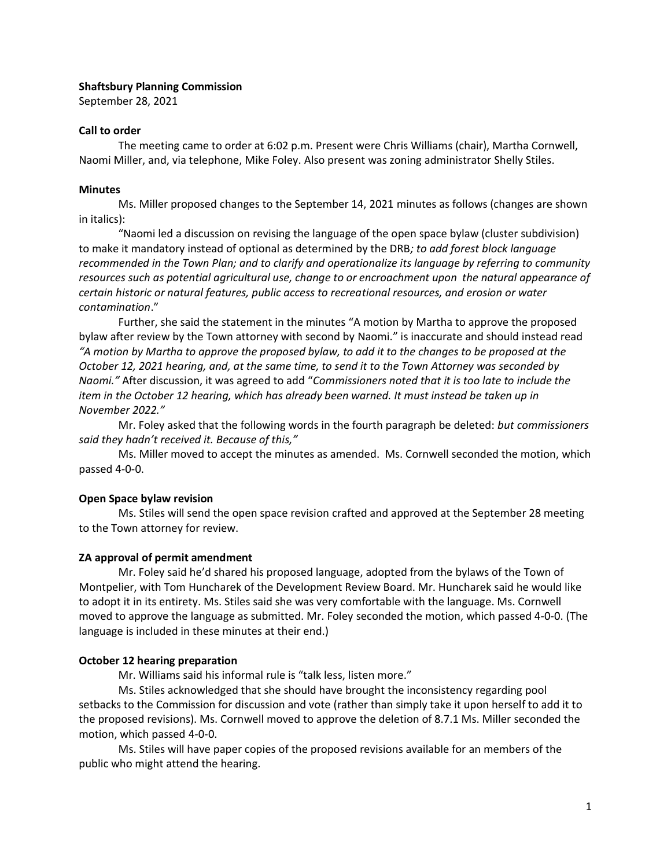#### **Shaftsbury Planning Commission**

September 28, 2021

#### **Call to order**

The meeting came to order at 6:02 p.m. Present were Chris Williams (chair), Martha Cornwell, Naomi Miller, and, via telephone, Mike Foley. Also present was zoning administrator Shelly Stiles.

#### **Minutes**

Ms. Miller proposed changes to the September 14, 2021 minutes as follows (changes are shown in italics):

"Naomi led a discussion on revising the language of the open space bylaw (cluster subdivision) to make it mandatory instead of optional as determined by the DRB*; to add forest block language recommended in the Town Plan; and to clarify and operationalize its language by referring to community resources such as potential agricultural use, change to or encroachment upon the natural appearance of certain historic or natural features, public access to recreational resources, and erosion or water contamination*."

Further, she said the statement in the minutes "A motion by Martha to approve the proposed bylaw after review by the Town attorney with second by Naomi." is inaccurate and should instead read *"A motion by Martha to approve the proposed bylaw, to add it to the changes to be proposed at the October 12, 2021 hearing, and, at the same time, to send it to the Town Attorney was seconded by Naomi."* After discussion, it was agreed to add "*Commissioners noted that it is too late to include the item in the October 12 hearing, which has already been warned. It must instead be taken up in November 2022."* 

Mr. Foley asked that the following words in the fourth paragraph be deleted: *but commissioners said they hadn't received it. Because of this,"*

Ms. Miller moved to accept the minutes as amended. Ms. Cornwell seconded the motion, which passed 4-0-0.

# **Open Space bylaw revision**

Ms. Stiles will send the open space revision crafted and approved at the September 28 meeting to the Town attorney for review.

# **ZA approval of permit amendment**

Mr. Foley said he'd shared his proposed language, adopted from the bylaws of the Town of Montpelier, with Tom Huncharek of the Development Review Board. Mr. Huncharek said he would like to adopt it in its entirety. Ms. Stiles said she was very comfortable with the language. Ms. Cornwell moved to approve the language as submitted. Mr. Foley seconded the motion, which passed 4-0-0. (The language is included in these minutes at their end.)

# **October 12 hearing preparation**

Mr. Williams said his informal rule is "talk less, listen more."

Ms. Stiles acknowledged that she should have brought the inconsistency regarding pool setbacks to the Commission for discussion and vote (rather than simply take it upon herself to add it to the proposed revisions). Ms. Cornwell moved to approve the deletion of 8.7.1 Ms. Miller seconded the motion, which passed 4-0-0.

Ms. Stiles will have paper copies of the proposed revisions available for an members of the public who might attend the hearing.